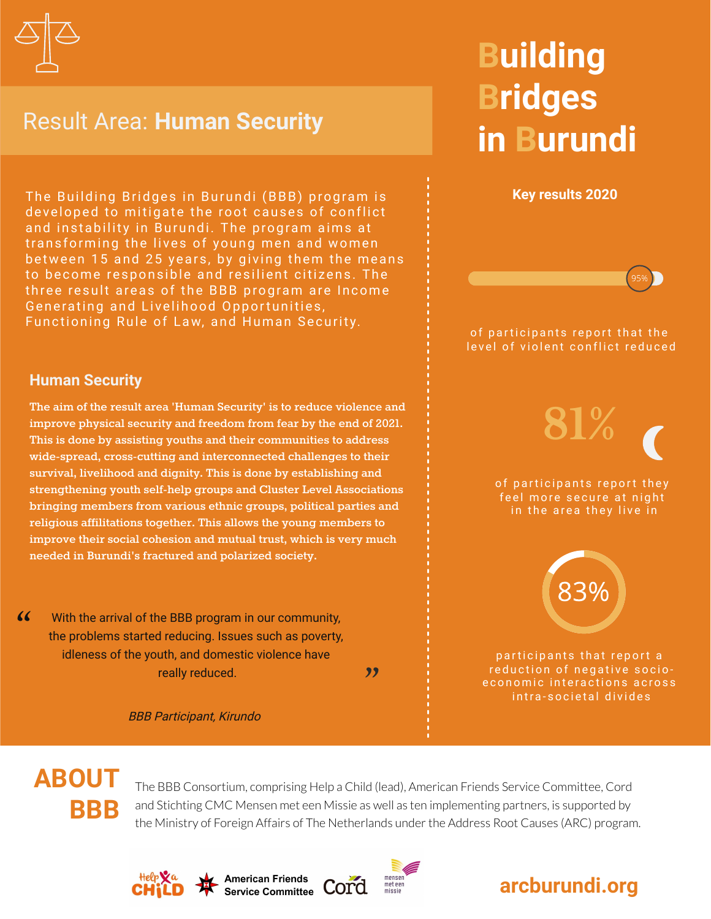

### Result Area: **Human Security**

The Building Bridges in Burundi (BBB) program is developed to mitigate the root causes of conflict and instability in Burundi. The program aims at transforming the lives of young men and women between 15 and 25 years, by giving them the means to become responsible and resilient citizens. The three result areas of the BBB program are Income Generating and Livelihood Opportunities, Functioning Rule of Law, and Human Security.

# **Building Bridges in Burundi**



#### **Human Security**

**The aim of the result area 'Human Security' is to reduce violence and improve physical security and freedom from fear by the end of 2021. This is done by assisting youths and their communities to address wide-spread, cross-cutting and interconnected challenges to their survival, livelihood and dignity. This is done by establishing and strengthening youth self-help groups and Cluster Level Associations bringing members from various ethnic groups, political parties and religious affilitations together. This allows the young members to improve their social cohesion and mutual trust, which is very much needed in Burundi's fractured and polarized society.**

 $\alpha$ With the arrival of the BBB program in our community, the problems started reducing. Issues such as poverty, idleness of the youth, and domestic violence have really reduced.

"

BBB Participant, Kirundo

### **ABOUT BBB**

The BBB Consortium, comprising Help a Child (lead), American Friends Service Committee, Cord and Stichting CMC Mensen met een Missie as well as ten implementing partners, is supported by the Ministry of Foreign Affairs of The Netherlands under the Address Root Causes (ARC) program.









participants that report a reduction of negative socioe conomic interactions across intra-societal divides